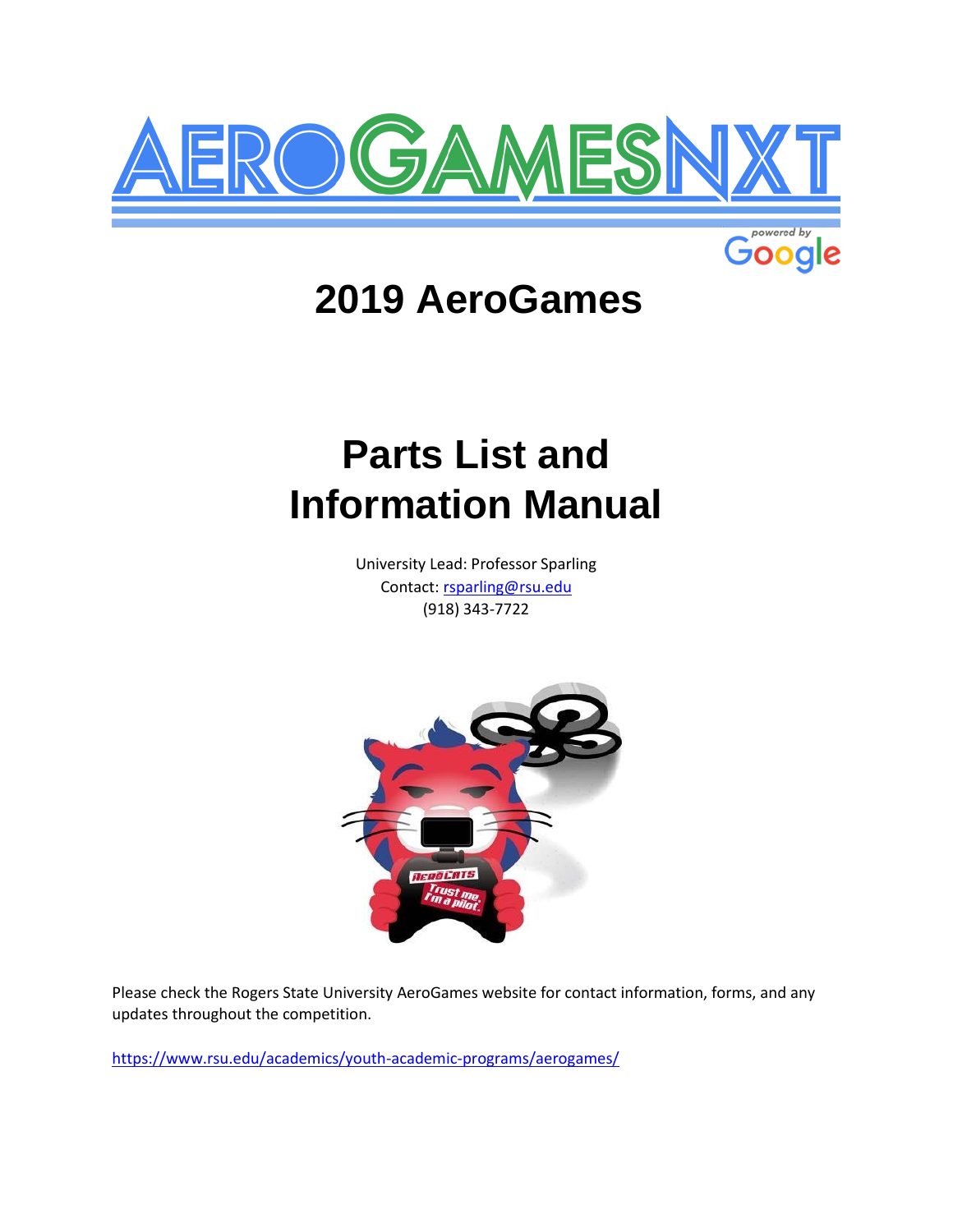



# **2019 AeroGames**

# **Parts List and Information Manual**

University Lead: Professor Sparling Contact: rsparling@rsu.edu (918) 343-7722



Please check the Rogers State University AeroGames website for contact information, forms, and any updates throughout the competition.

<https://www.rsu.edu/academics/youth-academic-programs/aerogames/>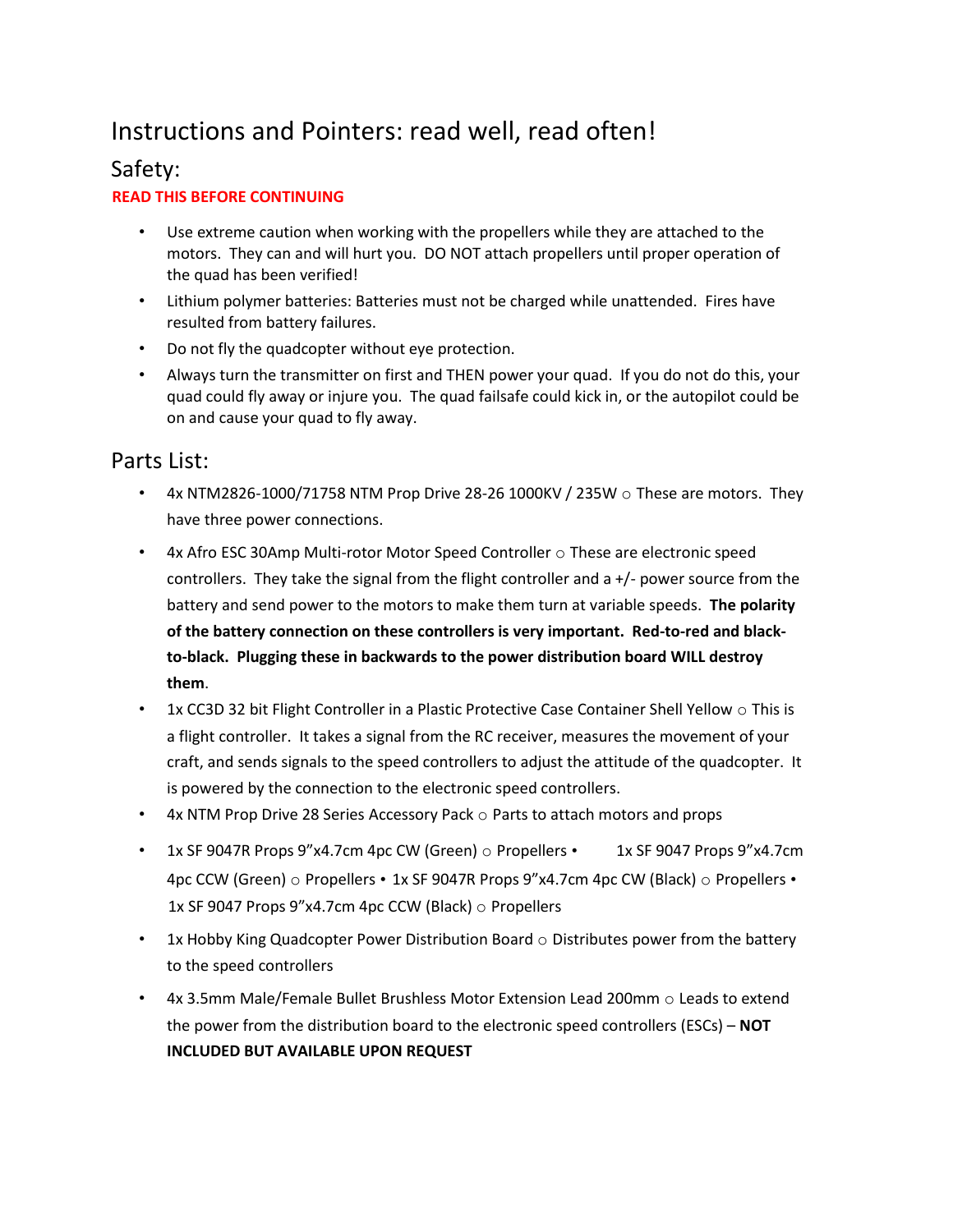## Instructions and Pointers: read well, read often!

### Safety:

#### **READ THIS BEFORE CONTINUING**

- Use extreme caution when working with the propellers while they are attached to the motors. They can and will hurt you. DO NOT attach propellers until proper operation of the quad has been verified!
- Lithium polymer batteries: Batteries must not be charged while unattended. Fires have resulted from battery failures.
- Do not fly the quadcopter without eye protection.
- Always turn the transmitter on first and THEN power your quad. If you do not do this, your quad could fly away or injure you. The quad failsafe could kick in, or the autopilot could be on and cause your quad to fly away.

#### Parts List:

- 4x NTM2826-1000/71758 NTM Prop Drive 28-26 1000KV / 235W  $\circ$  These are motors. They have three power connections.
- $4x$  Afro ESC 30Amp Multi-rotor Motor Speed Controller  $\circ$  These are electronic speed controllers. They take the signal from the flight controller and  $a +/2$  power source from the battery and send power to the motors to make them turn at variable speeds. **The polarity of the battery connection on these controllers is very important. Red-to-red and blackto-black. Plugging these in backwards to the power distribution board WILL destroy them**.
- 1x CC3D 32 bit Flight Controller in a Plastic Protective Case Container Shell Yellow  $\circ$  This is a flight controller. It takes a signal from the RC receiver, measures the movement of your craft, and sends signals to the speed controllers to adjust the attitude of the quadcopter. It is powered by the connection to the electronic speed controllers.
- 4x NTM Prop Drive 28 Series Accessory Pack  $\circ$  Parts to attach motors and props
- 1x SF 9047R Props 9"x4.7cm 4pc CW (Green)  $\circ$  Propellers 1x SF 9047 Props 9"x4.7cm 4pc CCW (Green)  $\circ$  Propellers • 1x SF 9047R Props 9"x4.7cm 4pc CW (Black)  $\circ$  Propellers • 1x SF 9047 Props 9"x4.7cm 4pc CCW (Black) o Propellers
- 1x Hobby King Quadcopter Power Distribution Board o Distributes power from the battery to the speed controllers
- 4x 3.5mm Male/Female Bullet Brushless Motor Extension Lead 200mm o Leads to extend the power from the distribution board to the electronic speed controllers (ESCs) – **NOT INCLUDED BUT AVAILABLE UPON REQUEST**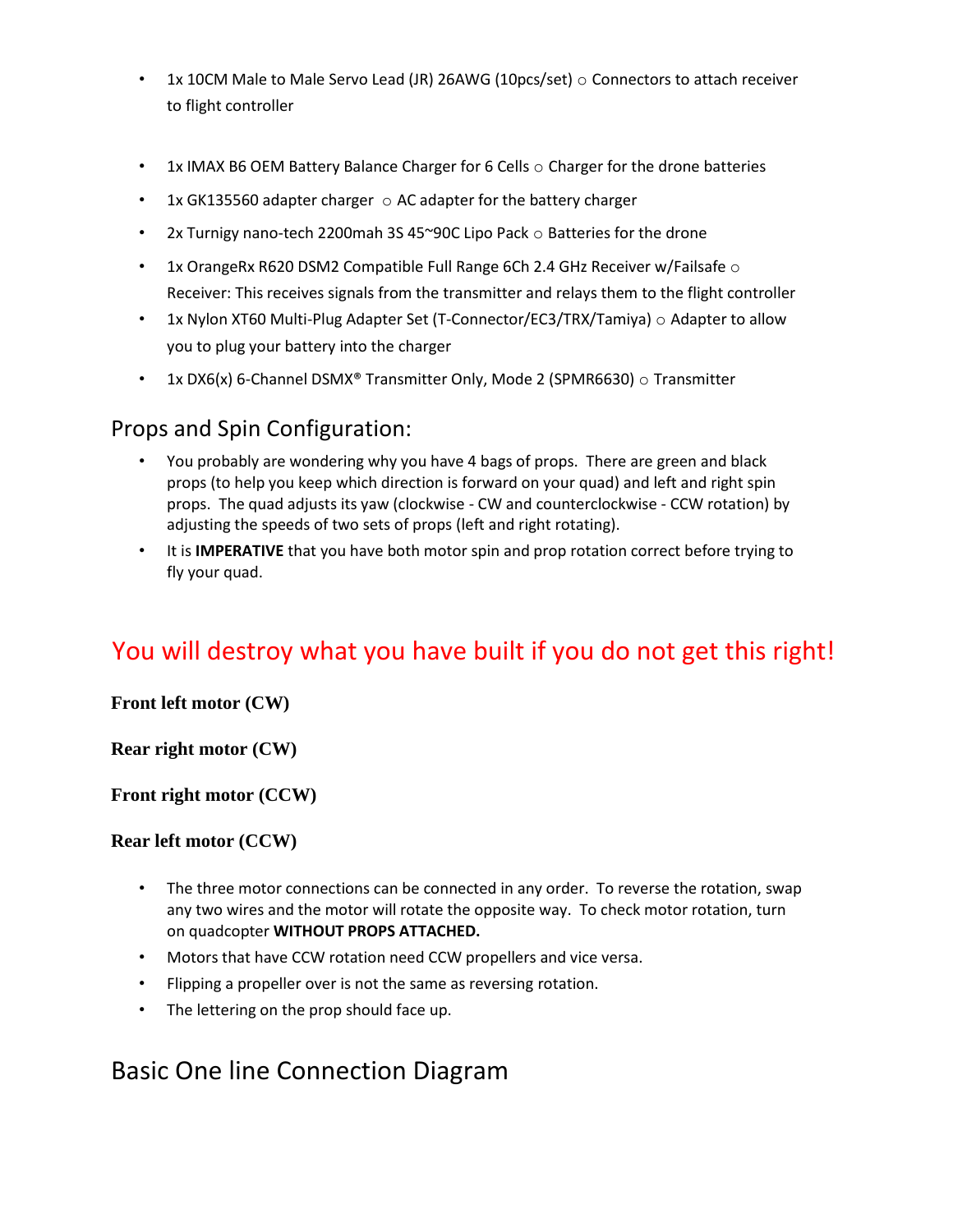- 1x 10CM Male to Male Servo Lead (JR) 26AWG (10pcs/set)  $\circ$  Connectors to attach receiver to flight controller
- 1x IMAX B6 OEM Battery Balance Charger for 6 Cells  $\circ$  Charger for the drone batteries
- 1x GK135560 adapter charger  $\circ$  AC adapter for the battery charger
- 2x Turnigy nano-tech 2200mah 3S 45~90C Lipo Pack o Batteries for the drone
- 1x OrangeRx R620 DSM2 Compatible Full Range 6Ch 2.4 GHz Receiver w/Failsafe  $\circ$ Receiver: This receives signals from the transmitter and relays them to the flight controller
- 1x Nylon XT60 Multi-Plug Adapter Set (T-Connector/EC3/TRX/Tamiya) o Adapter to allow you to plug your battery into the charger
- 1x DX6(x) 6-Channel DSMX® Transmitter Only, Mode 2 (SPMR6630)  $\circ$  Transmitter

### Props and Spin Configuration:

- You probably are wondering why you have 4 bags of props. There are green and black props (to help you keep which direction is forward on your quad) and left and right spin props. The quad adjusts its yaw (clockwise - CW and counterclockwise - CCW rotation) by adjusting the speeds of two sets of props (left and right rotating).
- It is **IMPERATIVE** that you have both motor spin and prop rotation correct before trying to fly your quad.

## You will destroy what you have built if you do not get this right!

#### **Front left motor (CW)**

**Rear right motor (CW)** 

**Front right motor (CCW)** 

**Rear left motor (CCW)**

- The three motor connections can be connected in any order. To reverse the rotation, swap any two wires and the motor will rotate the opposite way. To check motor rotation, turn on quadcopter **WITHOUT PROPS ATTACHED.**
- Motors that have CCW rotation need CCW propellers and vice versa.
- Flipping a propeller over is not the same as reversing rotation.
- The lettering on the prop should face up.

## Basic One line Connection Diagram